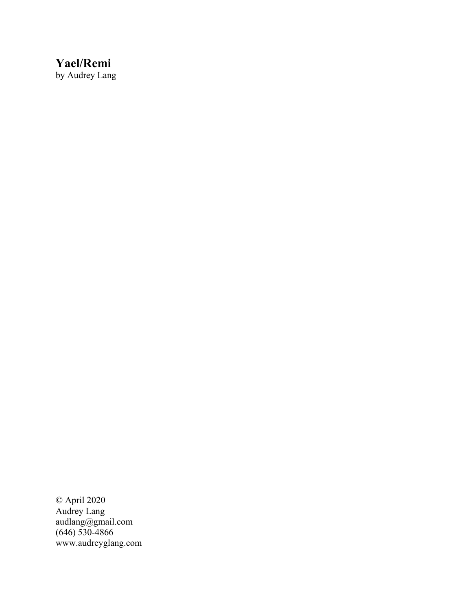# **Yael/Remi**

by Audrey Lang

© April 2020 Audrey Lang audlang@gmail.com (646) 530-4866 www.audreyglang.com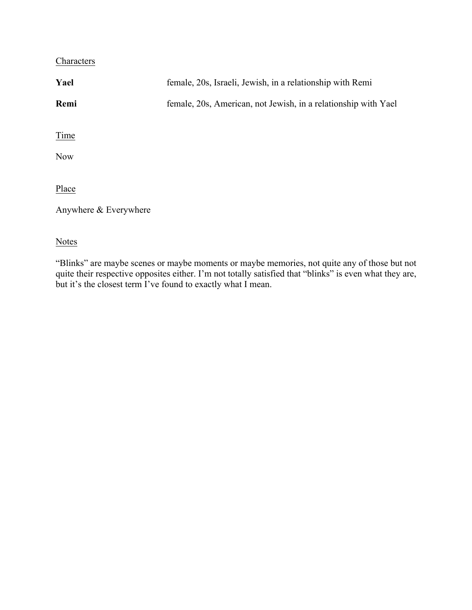# **Characters**

| Yael                  | female, 20s, Israeli, Jewish, in a relationship with Remi      |
|-----------------------|----------------------------------------------------------------|
| Remi                  | female, 20s, American, not Jewish, in a relationship with Yael |
|                       |                                                                |
| Time                  |                                                                |
| <b>Now</b>            |                                                                |
|                       |                                                                |
| Place                 |                                                                |
| Anywhere & Everywhere |                                                                |
|                       |                                                                |
| <b>Notes</b>          |                                                                |

"Blinks" are maybe scenes or maybe moments or maybe memories, not quite any of those but not quite their respective opposites either. I'm not totally satisfied that "blinks" is even what they are, but it's the closest term I've found to exactly what I mean.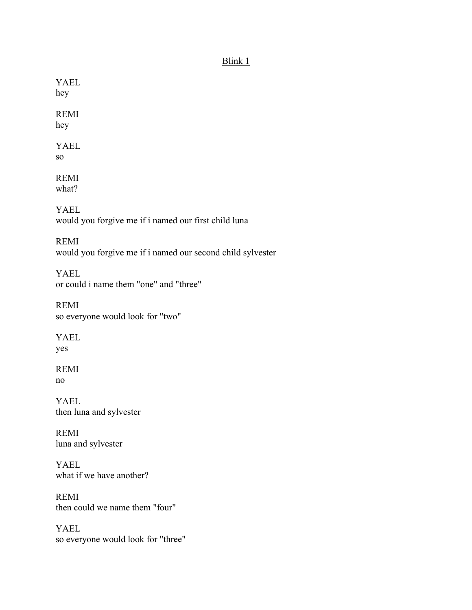### Blink 1

YAEL hey

REMI hey

YAEL so

REMI what?

YAEL would you forgive me if i named our first child luna

REMI would you forgive me if i named our second child sylvester

YAEL or could i name them "one" and "three"

REMI so everyone would look for "two"

YAEL yes

REMI no

YAEL then luna and sylvester

REMI luna and sylvester

YAEL what if we have another?

REMI then could we name them "four"

YAEL so everyone would look for "three"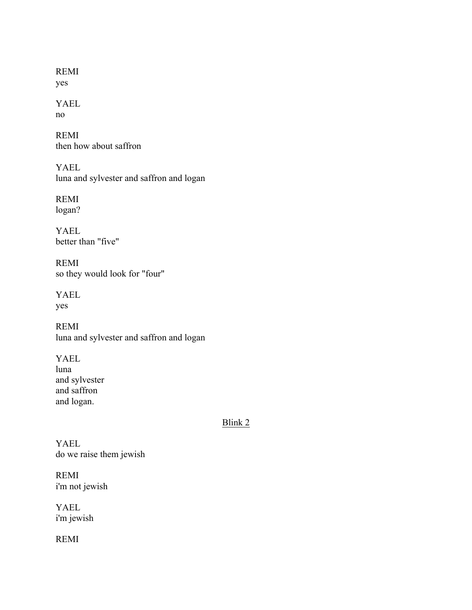REMI yes

#### YAEL no

REMI then how about saffron

YAEL luna and sylvester and saffron and logan

REMI logan?

YAEL better than "five"

REMI so they would look for "four"

YAEL yes

REMI luna and sylvester and saffron and logan

YAEL luna and sylvester and saffron and logan.

## Blink 2

YAEL do we raise them jewish

REMI i'm not jewish

YAEL i'm jewish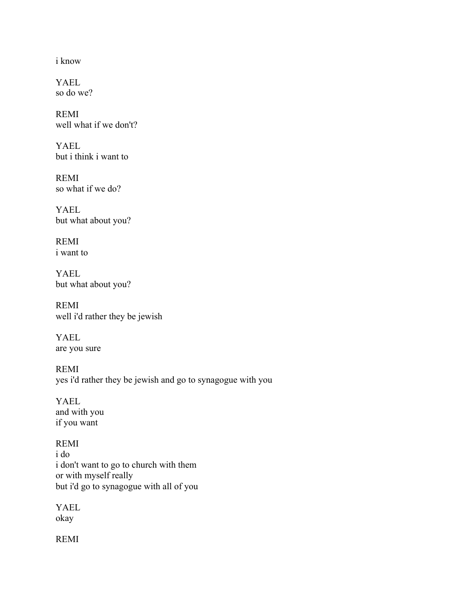i know

YAEL so do we?

REMI well what if we don't?

YAEL but i think i want to

REMI so what if we do?

YAEL but what about you?

REMI i want to

YAEL but what about you?

REMI well i'd rather they be jewish

YAEL are you sure

REMI yes i'd rather they be jewish and go to synagogue with you

YAEL and with you if you want

REMI i do i don't want to go to church with them or with myself really but i'd go to synagogue with all of you

YAEL okay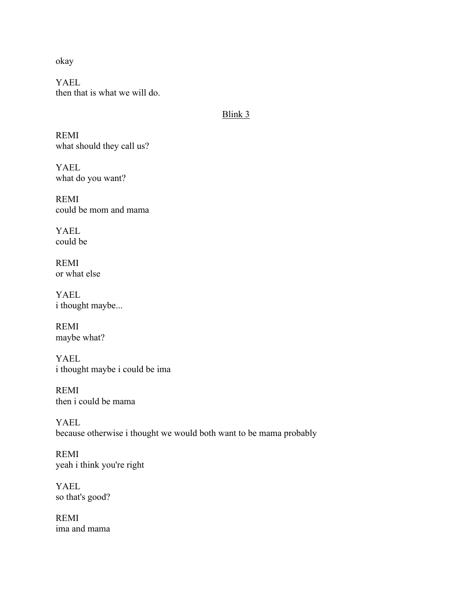okay

YAEL then that is what we will do.

#### Blink 3

REMI what should they call us?

YAEL what do you want?

REMI could be mom and mama

YAEL could be

REMI or what else

YAEL i thought maybe...

REMI maybe what?

YAEL i thought maybe i could be ima

REMI then i could be mama

YAEL because otherwise i thought we would both want to be mama probably

REMI yeah i think you're right

YAEL so that's good?

REMI ima and mama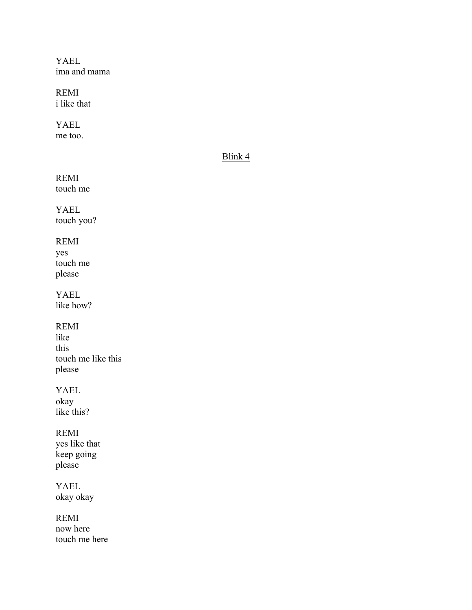YAEL ima and mama

REMI i like that

YAEL me too.

## Blink 4

REMI touch me

YAEL touch you?

# REMI

yes touch me please

YAEL like how?

REMI

like this touch me like this please

YAEL

okay like this?

# REMI

yes like that keep going please

YAEL okay okay

REMI

now here touch me here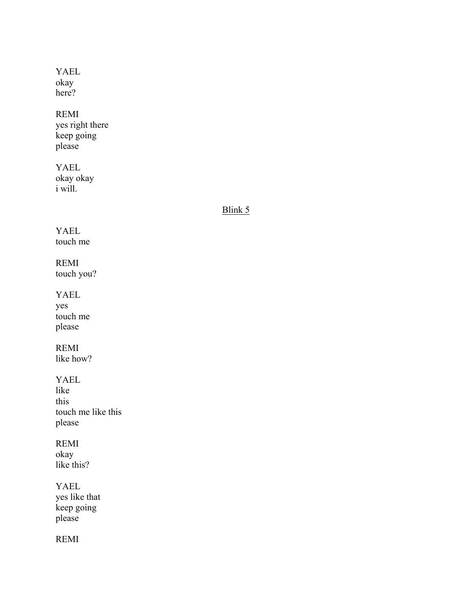#### YAEL okay here?

#### REMI

yes right there keep going please

#### YAEL okay okay i will.

#### Blink 5

## YAEL touch me

REMI touch you?

#### YAEL

yes touch me please

## REMI

like how?

#### YAEL

like this touch me like this please

## REMI

okay like this?

### YAEL

yes like that keep going please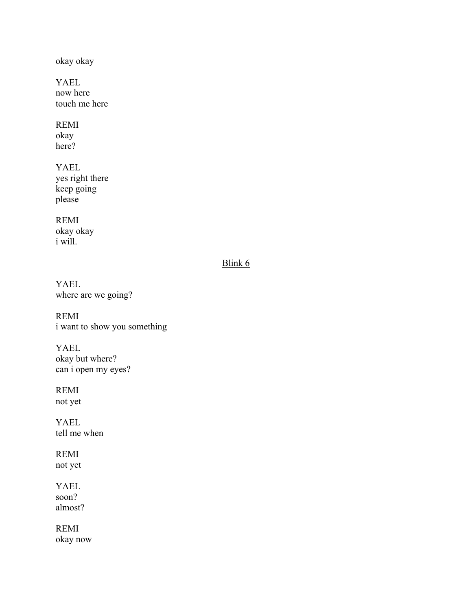okay okay

YAEL now here touch me here

REMI okay

here?

YAEL yes right there keep going please

REMI okay okay i will.

# Blink 6

YAEL where are we going?

REMI i want to show you something

YAEL okay but where? can i open my eyes?

REMI

not yet

YAEL tell me when

REMI not yet

YAEL soon? almost?

REMI okay now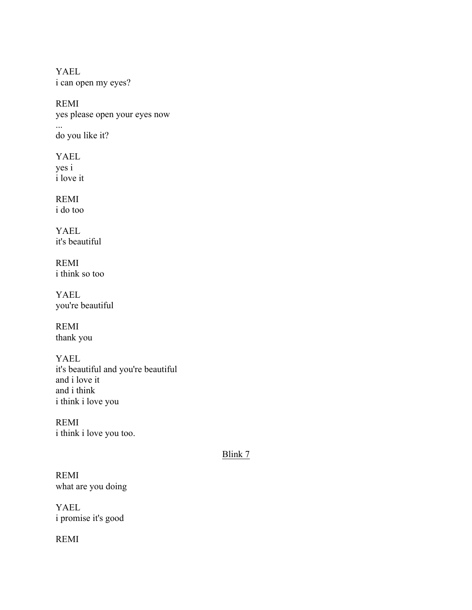YAEL i can open my eyes?

REMI yes please open your eyes now

do you like it?

YAEL yes i i love it

...

REMI i do too

YAEL it's beautiful

REMI i think so too

YAEL you're beautiful

REMI thank you

YAEL it's beautiful and you're beautiful and i love it and i think i think i love you

REMI i think i love you too.

Blink 7

REMI what are you doing

YAEL i promise it's good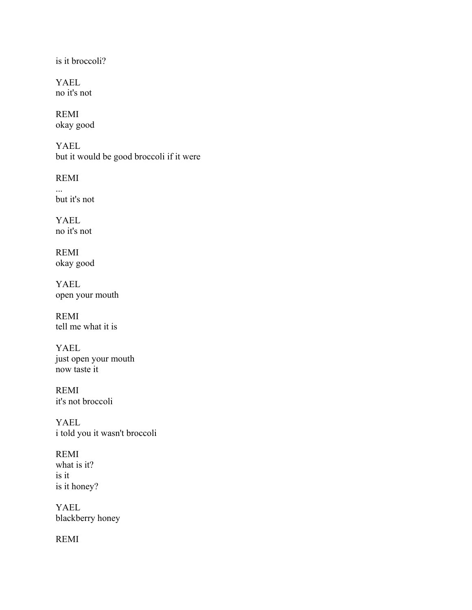is it broccoli?

YAEL no it's not

REMI okay good

YAEL but it would be good broccoli if it were

REMI

... but it's not

YAEL no it's not

REMI okay good

YAEL open your mouth

REMI tell me what it is

YAEL just open your mouth now taste it

REMI it's not broccoli

YAEL i told you it wasn't broccoli

REMI what is it? is it is it honey?

YAEL blackberry honey